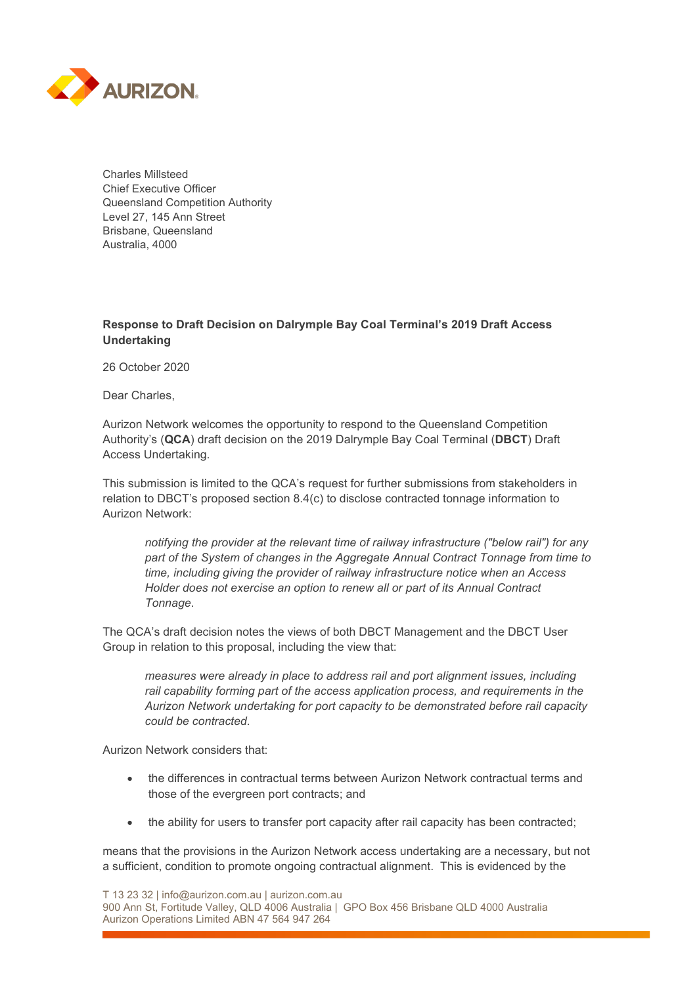

Charles Millsteed Chief Executive Officer Queensland Competition Authority Level 27, 145 Ann Street Brisbane, Queensland Australia, 4000

## **Response to Draft Decision on Dalrymple Bay Coal Terminal's 2019 Draft Access Undertaking**

26 October 2020

Dear Charles,

Aurizon Network welcomes the opportunity to respond to the Queensland Competition Authority's (**QCA**) draft decision on the 2019 Dalrymple Bay Coal Terminal (**DBCT**) Draft Access Undertaking.

This submission is limited to the QCA's request for further submissions from stakeholders in relation to DBCT's proposed section 8.4(c) to disclose contracted tonnage information to Aurizon Network:

*notifying the provider at the relevant time of railway infrastructure ("below rail") for any part of the System of changes in the Aggregate Annual Contract Tonnage from time to time, including giving the provider of railway infrastructure notice when an Access Holder does not exercise an option to renew all or part of its Annual Contract Tonnage*.

The QCA's draft decision notes the views of both DBCT Management and the DBCT User Group in relation to this proposal, including the view that:

*measures were already in place to address rail and port alignment issues, including rail capability forming part of the access application process, and requirements in the Aurizon Network undertaking for port capacity to be demonstrated before rail capacity could be contracted.*

Aurizon Network considers that:

- the differences in contractual terms between Aurizon Network contractual terms and those of the evergreen port contracts; and
- the ability for users to transfer port capacity after rail capacity has been contracted;

means that the provisions in the Aurizon Network access undertaking are a necessary, but not a sufficient, condition to promote ongoing contractual alignment. This is evidenced by the